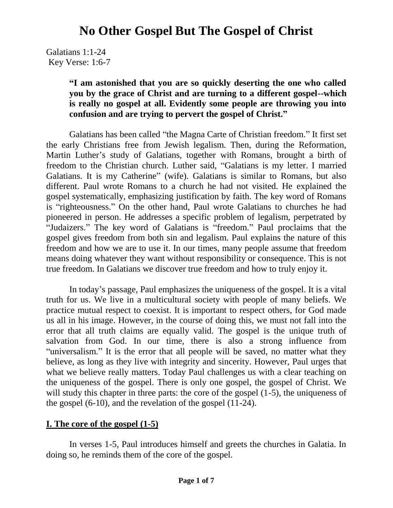Galatians 1:1-24 Key Verse: 1:6-7

### **"I am astonished that you are so quickly deserting the one who called you by the grace of Christ and are turning to a different gospel--which is really no gospel at all. Evidently some people are throwing you into confusion and are trying to pervert the gospel of Christ."**

Galatians has been called "the Magna Carte of Christian freedom." It first set the early Christians free from Jewish legalism. Then, during the Reformation, Martin Luther's study of Galatians, together with Romans, brought a birth of freedom to the Christian church. Luther said, "Galatians is my letter. I married Galatians. It is my Catherine" (wife). Galatians is similar to Romans, but also different. Paul wrote Romans to a church he had not visited. He explained the gospel systematically, emphasizing justification by faith. The key word of Romans is "righteousness." On the other hand, Paul wrote Galatians to churches he had pioneered in person. He addresses a specific problem of legalism, perpetrated by "Judaizers." The key word of Galatians is "freedom." Paul proclaims that the gospel gives freedom from both sin and legalism. Paul explains the nature of this freedom and how we are to use it. In our times, many people assume that freedom means doing whatever they want without responsibility or consequence. This is not true freedom. In Galatians we discover true freedom and how to truly enjoy it.

In today's passage, Paul emphasizes the uniqueness of the gospel. It is a vital truth for us. We live in a multicultural society with people of many beliefs. We practice mutual respect to coexist. It is important to respect others, for God made us all in his image. However, in the course of doing this, we must not fall into the error that all truth claims are equally valid. The gospel is the unique truth of salvation from God. In our time, there is also a strong influence from "universalism." It is the error that all people will be saved, no matter what they believe, as long as they live with integrity and sincerity. However, Paul urges that what we believe really matters. Today Paul challenges us with a clear teaching on the uniqueness of the gospel. There is only one gospel, the gospel of Christ. We will study this chapter in three parts: the core of the gospel  $(1-5)$ , the uniqueness of the gospel (6-10), and the revelation of the gospel (11-24).

#### **I. The core of the gospel (1-5)**

In verses 1-5, Paul introduces himself and greets the churches in Galatia. In doing so, he reminds them of the core of the gospel.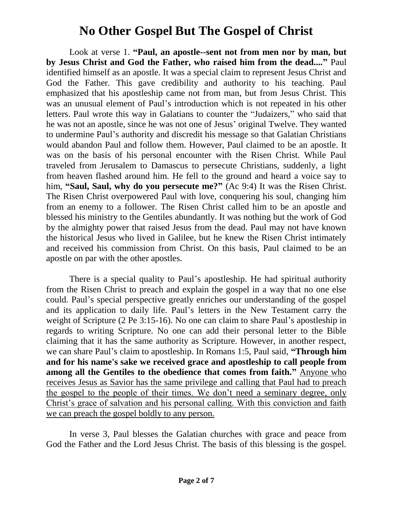Look at verse 1. **"Paul, an apostle--sent not from men nor by man, but by Jesus Christ and God the Father, who raised him from the dead...."** Paul identified himself as an apostle. It was a special claim to represent Jesus Christ and God the Father. This gave credibility and authority to his teaching. Paul emphasized that his apostleship came not from man, but from Jesus Christ. This was an unusual element of Paul's introduction which is not repeated in his other letters. Paul wrote this way in Galatians to counter the "Judaizers," who said that he was not an apostle, since he was not one of Jesus' original Twelve. They wanted to undermine Paul's authority and discredit his message so that Galatian Christians would abandon Paul and follow them. However, Paul claimed to be an apostle. It was on the basis of his personal encounter with the Risen Christ. While Paul traveled from Jerusalem to Damascus to persecute Christians, suddenly, a light from heaven flashed around him. He fell to the ground and heard a voice say to him, **"Saul, Saul, why do you persecute me?"** (Ac 9:4) It was the Risen Christ. The Risen Christ overpowered Paul with love, conquering his soul, changing him from an enemy to a follower. The Risen Christ called him to be an apostle and blessed his ministry to the Gentiles abundantly. It was nothing but the work of God by the almighty power that raised Jesus from the dead. Paul may not have known the historical Jesus who lived in Galilee, but he knew the Risen Christ intimately and received his commission from Christ. On this basis, Paul claimed to be an apostle on par with the other apostles.

There is a special quality to Paul's apostleship. He had spiritual authority from the Risen Christ to preach and explain the gospel in a way that no one else could. Paul's special perspective greatly enriches our understanding of the gospel and its application to daily life. Paul's letters in the New Testament carry the weight of Scripture (2 Pe 3:15-16). No one can claim to share Paul's apostleship in regards to writing Scripture. No one can add their personal letter to the Bible claiming that it has the same authority as Scripture. However, in another respect, we can share Paul's claim to apostleship. In Romans 1:5, Paul said, **"Through him and for his name's sake we received grace and apostleship to call people from among all the Gentiles to the obedience that comes from faith."** Anyone who receives Jesus as Savior has the same privilege and calling that Paul had to preach the gospel to the people of their times. We don't need a seminary degree, only Christ's grace of salvation and his personal calling. With this conviction and faith we can preach the gospel boldly to any person.

In verse 3, Paul blesses the Galatian churches with grace and peace from God the Father and the Lord Jesus Christ. The basis of this blessing is the gospel.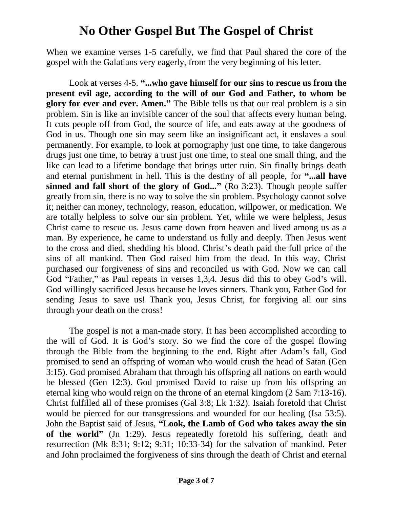When we examine verses 1-5 carefully, we find that Paul shared the core of the gospel with the Galatians very eagerly, from the very beginning of his letter.

Look at verses 4-5. **"...who gave himself for our sins to rescue us from the present evil age, according to the will of our God and Father, to whom be glory for ever and ever. Amen."** The Bible tells us that our real problem is a sin problem. Sin is like an invisible cancer of the soul that affects every human being. It cuts people off from God, the source of life, and eats away at the goodness of God in us. Though one sin may seem like an insignificant act, it enslaves a soul permanently. For example, to look at pornography just one time, to take dangerous drugs just one time, to betray a trust just one time, to steal one small thing, and the like can lead to a lifetime bondage that brings utter ruin. Sin finally brings death and eternal punishment in hell. This is the destiny of all people, for **"...all have sinned and fall short of the glory of God..."** (Ro 3:23). Though people suffer greatly from sin, there is no way to solve the sin problem. Psychology cannot solve it; neither can money, technology, reason, education, willpower, or medication. We are totally helpless to solve our sin problem. Yet, while we were helpless, Jesus Christ came to rescue us. Jesus came down from heaven and lived among us as a man. By experience, he came to understand us fully and deeply. Then Jesus went to the cross and died, shedding his blood. Christ's death paid the full price of the sins of all mankind. Then God raised him from the dead. In this way, Christ purchased our forgiveness of sins and reconciled us with God. Now we can call God "Father," as Paul repeats in verses 1,3,4. Jesus did this to obey God's will. God willingly sacrificed Jesus because he loves sinners. Thank you, Father God for sending Jesus to save us! Thank you, Jesus Christ, for forgiving all our sins through your death on the cross!

The gospel is not a man-made story. It has been accomplished according to the will of God. It is God's story. So we find the core of the gospel flowing through the Bible from the beginning to the end. Right after Adam's fall, God promised to send an offspring of woman who would crush the head of Satan (Gen 3:15). God promised Abraham that through his offspring all nations on earth would be blessed (Gen 12:3). God promised David to raise up from his offspring an eternal king who would reign on the throne of an eternal kingdom (2 Sam 7:13-16). Christ fulfilled all of these promises (Gal 3:8; Lk 1:32). Isaiah foretold that Christ would be pierced for our transgressions and wounded for our healing (Isa 53:5). John the Baptist said of Jesus, **"Look, the Lamb of God who takes away the sin of the world"** (Jn 1:29). Jesus repeatedly foretold his suffering, death and resurrection (Mk 8:31; 9:12; 9:31; 10:33-34) for the salvation of mankind. Peter and John proclaimed the forgiveness of sins through the death of Christ and eternal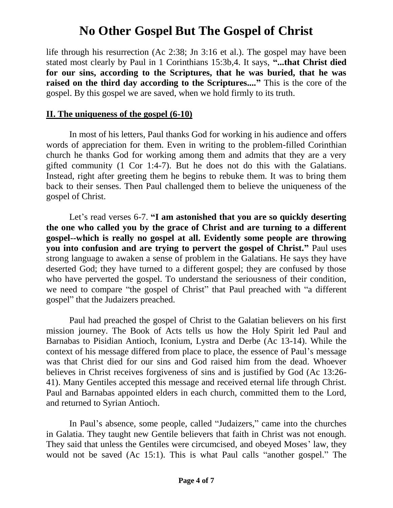life through his resurrection (Ac 2:38; Jn 3:16 et al.). The gospel may have been stated most clearly by Paul in 1 Corinthians 15:3b,4. It says, **"...that Christ died for our sins, according to the Scriptures, that he was buried, that he was raised on the third day according to the Scriptures...."** This is the core of the gospel. By this gospel we are saved, when we hold firmly to its truth.

### **II. The uniqueness of the gospel (6-10)**

In most of his letters, Paul thanks God for working in his audience and offers words of appreciation for them. Even in writing to the problem-filled Corinthian church he thanks God for working among them and admits that they are a very gifted community (1 Cor 1:4-7). But he does not do this with the Galatians. Instead, right after greeting them he begins to rebuke them. It was to bring them back to their senses. Then Paul challenged them to believe the uniqueness of the gospel of Christ.

Let's read verses 6-7. **"I am astonished that you are so quickly deserting the one who called you by the grace of Christ and are turning to a different gospel--which is really no gospel at all. Evidently some people are throwing you into confusion and are trying to pervert the gospel of Christ."** Paul uses strong language to awaken a sense of problem in the Galatians. He says they have deserted God; they have turned to a different gospel; they are confused by those who have perverted the gospel. To understand the seriousness of their condition, we need to compare "the gospel of Christ" that Paul preached with "a different gospel" that the Judaizers preached.

Paul had preached the gospel of Christ to the Galatian believers on his first mission journey. The Book of Acts tells us how the Holy Spirit led Paul and Barnabas to Pisidian Antioch, Iconium, Lystra and Derbe (Ac 13-14). While the context of his message differed from place to place, the essence of Paul's message was that Christ died for our sins and God raised him from the dead. Whoever believes in Christ receives forgiveness of sins and is justified by God (Ac 13:26- 41). Many Gentiles accepted this message and received eternal life through Christ. Paul and Barnabas appointed elders in each church, committed them to the Lord, and returned to Syrian Antioch.

In Paul's absence, some people, called "Judaizers," came into the churches in Galatia. They taught new Gentile believers that faith in Christ was not enough. They said that unless the Gentiles were circumcised, and obeyed Moses' law, they would not be saved (Ac 15:1). This is what Paul calls "another gospel." The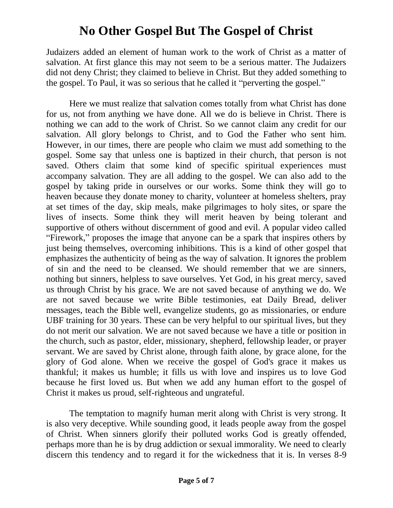Judaizers added an element of human work to the work of Christ as a matter of salvation. At first glance this may not seem to be a serious matter. The Judaizers did not deny Christ; they claimed to believe in Christ. But they added something to the gospel. To Paul, it was so serious that he called it "perverting the gospel."

Here we must realize that salvation comes totally from what Christ has done for us, not from anything we have done. All we do is believe in Christ. There is nothing we can add to the work of Christ. So we cannot claim any credit for our salvation. All glory belongs to Christ, and to God the Father who sent him. However, in our times, there are people who claim we must add something to the gospel. Some say that unless one is baptized in their church, that person is not saved. Others claim that some kind of specific spiritual experiences must accompany salvation. They are all adding to the gospel. We can also add to the gospel by taking pride in ourselves or our works. Some think they will go to heaven because they donate money to charity, volunteer at homeless shelters, pray at set times of the day, skip meals, make pilgrimages to holy sites, or spare the lives of insects. Some think they will merit heaven by being tolerant and supportive of others without discernment of good and evil. A popular video called "Firework," proposes the image that anyone can be a spark that inspires others by just being themselves, overcoming inhibitions. This is a kind of other gospel that emphasizes the authenticity of being as the way of salvation. It ignores the problem of sin and the need to be cleansed. We should remember that we are sinners, nothing but sinners, helpless to save ourselves. Yet God, in his great mercy, saved us through Christ by his grace. We are not saved because of anything we do. We are not saved because we write Bible testimonies, eat Daily Bread, deliver messages, teach the Bible well, evangelize students, go as missionaries, or endure UBF training for 30 years. These can be very helpful to our spiritual lives, but they do not merit our salvation. We are not saved because we have a title or position in the church, such as pastor, elder, missionary, shepherd, fellowship leader, or prayer servant. We are saved by Christ alone, through faith alone, by grace alone, for the glory of God alone. When we receive the gospel of God's grace it makes us thankful; it makes us humble; it fills us with love and inspires us to love God because he first loved us. But when we add any human effort to the gospel of Christ it makes us proud, self-righteous and ungrateful.

The temptation to magnify human merit along with Christ is very strong. It is also very deceptive. While sounding good, it leads people away from the gospel of Christ. When sinners glorify their polluted works God is greatly offended, perhaps more than he is by drug addiction or sexual immorality. We need to clearly discern this tendency and to regard it for the wickedness that it is. In verses 8-9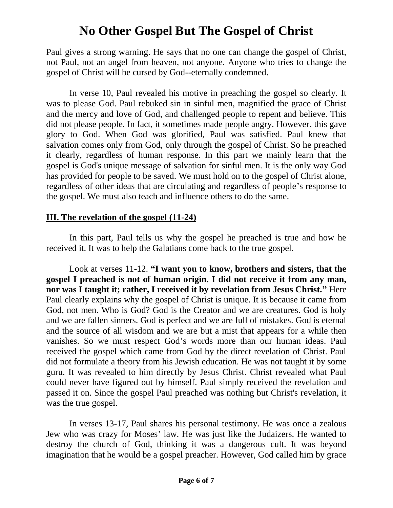Paul gives a strong warning. He says that no one can change the gospel of Christ, not Paul, not an angel from heaven, not anyone. Anyone who tries to change the gospel of Christ will be cursed by God--eternally condemned.

In verse 10, Paul revealed his motive in preaching the gospel so clearly. It was to please God. Paul rebuked sin in sinful men, magnified the grace of Christ and the mercy and love of God, and challenged people to repent and believe. This did not please people. In fact, it sometimes made people angry. However, this gave glory to God. When God was glorified, Paul was satisfied. Paul knew that salvation comes only from God, only through the gospel of Christ. So he preached it clearly, regardless of human response. In this part we mainly learn that the gospel is God's unique message of salvation for sinful men. It is the only way God has provided for people to be saved. We must hold on to the gospel of Christ alone, regardless of other ideas that are circulating and regardless of people's response to the gospel. We must also teach and influence others to do the same.

#### **III. The revelation of the gospel (11-24)**

In this part, Paul tells us why the gospel he preached is true and how he received it. It was to help the Galatians come back to the true gospel.

Look at verses 11-12. **"I want you to know, brothers and sisters, that the gospel I preached is not of human origin. I did not receive it from any man, nor was I taught it; rather, I received it by revelation from Jesus Christ."** Here Paul clearly explains why the gospel of Christ is unique. It is because it came from God, not men. Who is God? God is the Creator and we are creatures. God is holy and we are fallen sinners. God is perfect and we are full of mistakes. God is eternal and the source of all wisdom and we are but a mist that appears for a while then vanishes. So we must respect God's words more than our human ideas. Paul received the gospel which came from God by the direct revelation of Christ. Paul did not formulate a theory from his Jewish education. He was not taught it by some guru. It was revealed to him directly by Jesus Christ. Christ revealed what Paul could never have figured out by himself. Paul simply received the revelation and passed it on. Since the gospel Paul preached was nothing but Christ's revelation, it was the true gospel.

In verses 13-17, Paul shares his personal testimony. He was once a zealous Jew who was crazy for Moses' law. He was just like the Judaizers. He wanted to destroy the church of God, thinking it was a dangerous cult. It was beyond imagination that he would be a gospel preacher. However, God called him by grace